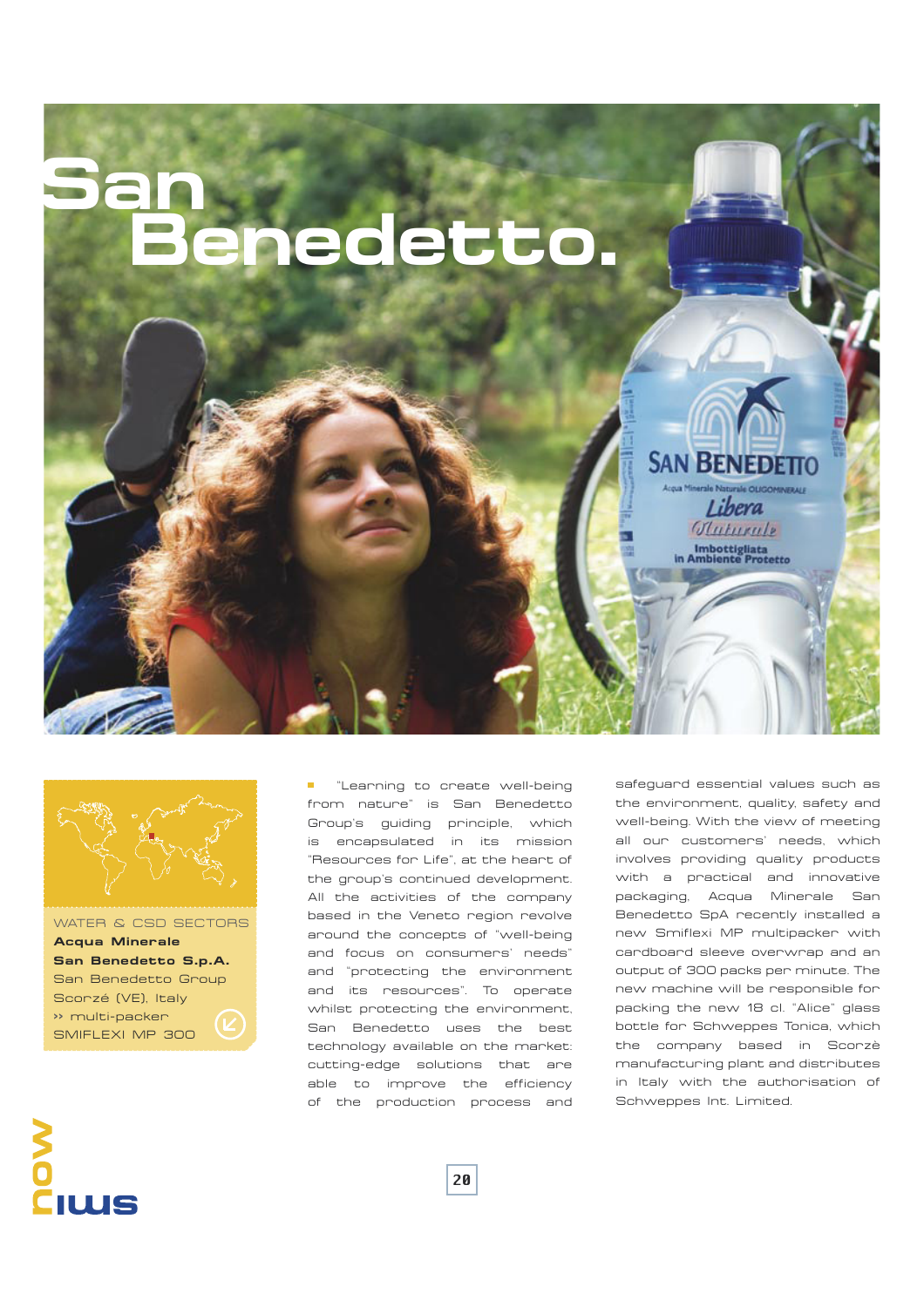



WATER & CSD SECTORS **Acqua Minerale San Benedetto S.p.A.** San Benedetto Group Scorzé (VE), Italy **>>** multi-packer SMIFLEXI MP 300

**I** "Learning to create well-being from nature" is San Benedetto Group's guiding principle, which is encapsulated in its mission "Resources for Life", at the heart of the group's continued development. All the activities of the company based in the Veneto region revolve around the concepts of "well-being and focus on consumers' needs" and "protecting the environment and its resources". To operate whilst protecting the environment, San Benedetto uses the best technology available on the market: cutting-edge solutions that are able to improve the efficiency of the production process and

safeguard essential values such as the environment, quality, safety and well-being. With the view of meeting all our customers' needs, which involves providing quality products with a practical and innovative packaging, Acqua Minerale San Benedetto SpA recently installed a new Smiflexi MP multipacker with cardboard sleeve overwrap and an output of 300 packs per minute. The new machine will be responsible for packing the new 18 cl. "Alice" glass bottle for Schweppes Tonica, which the company based in Scorzè manufacturing plant and distributes in Italy with the authorisation of Schweppes Int. Limited.



20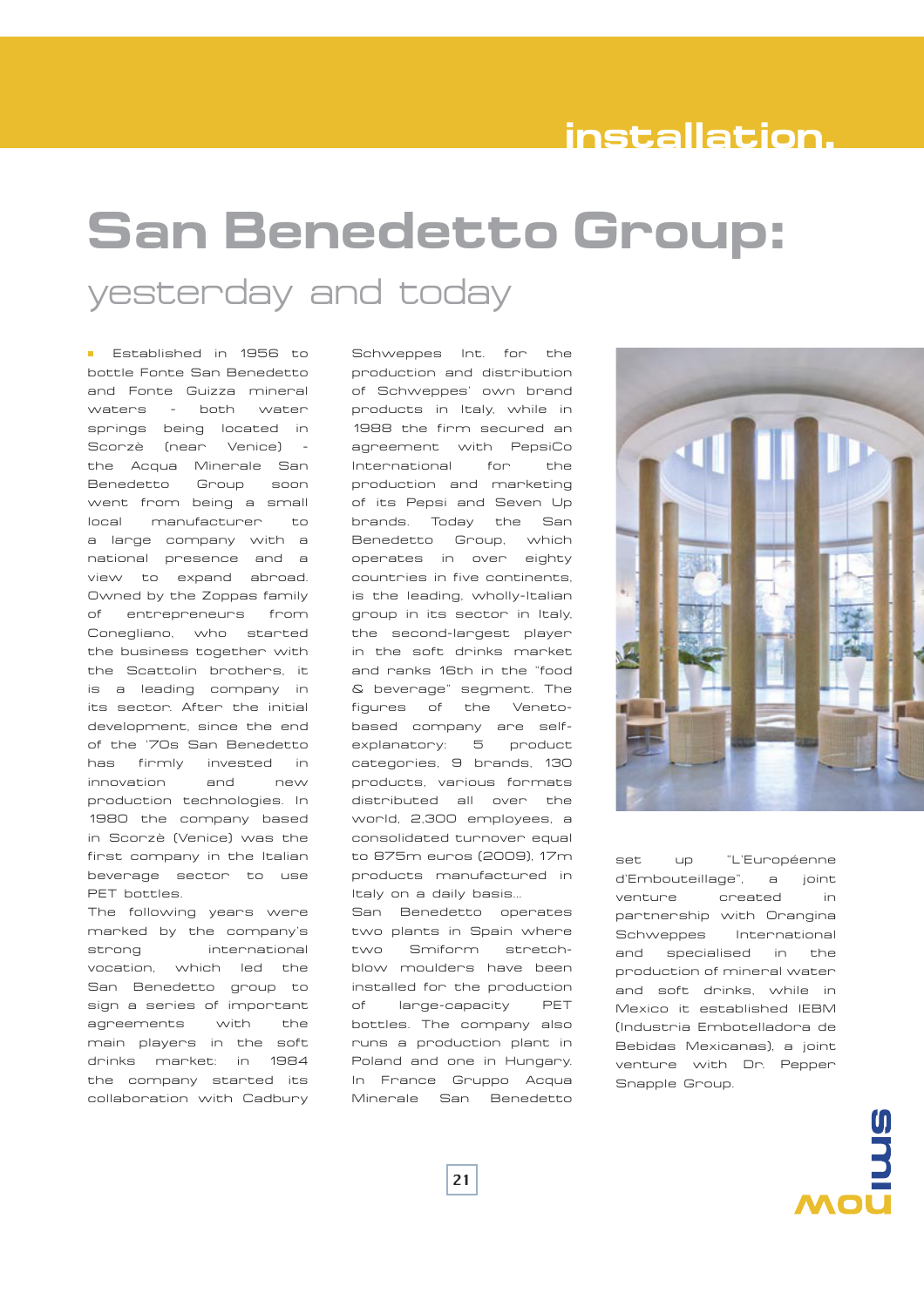#### **installation.**

### **San Benedetto Group:** yesterday and today

**E** Established in 1956 to bottle Fonte San Benedetto and Fonte Guizza mineral waters - both water springs being located in Scorzè (near Venice) the Acqua Minerale San Benedetto Group soon went from being a small local manufacturer to a large company with a national presence and a view to expand abroad. Owned by the Zoppas family of entrepreneurs from Conegliano, who started the business together with the Scattolin brothers, it is a leading company in its sector. After the initial development, since the end of the '70s San Benedetto has firmly invested in innovation and new production technologies. In 1980 the company based in Scorzè (Venice) was the first company in the Italian beverage sector to use PET bottles.

The following years were marked by the company's strong international vocation, which led the San Benedetto group to sign a series of important agreements with the main players in the soft drinks market: in 1984 the company started its collaboration with Cadbury

Schweppes Int. for the production and distribution of Schweppes' own brand products in Italy, while in 1988 the firm secured an agreement with PepsiCo International for the production and marketing of its Pepsi and Seven Up brands. Today the San Benedetto Group, which operates in over eighty countries in five continents, is the leading, wholly-Italian group in its sector in Italy, the second-largest player in the soft drinks market and ranks 16th in the "food & beverage" segment. The figures of the Venetobased company are selfexplanatory: 5 product categories, 9 brands, 130 products, various formats distributed all over the world, 2,300 employees, a consolidated turnover equal to 875m euros (2009), 17m products manufactured in Italy on a daily basis...

San Benedetto operates two plants in Spain where two Smiform stretchblow moulders have been installed for the production of large-capacity PET bottles. The company also runs a production plant in Poland and one in Hungary. In France Gruppo Acqua Minerale San Benedetto



set up "L'Européenne d'Embouteillage", a joint venture created in partnership with Orangina Schweppes International and specialised in the production of mineral water and soft drinks, while in Mexico it established IEBM (Industria Embotelladora de Bebidas Mexicanas), a joint venture with Dr. Pepper Snapple Group.

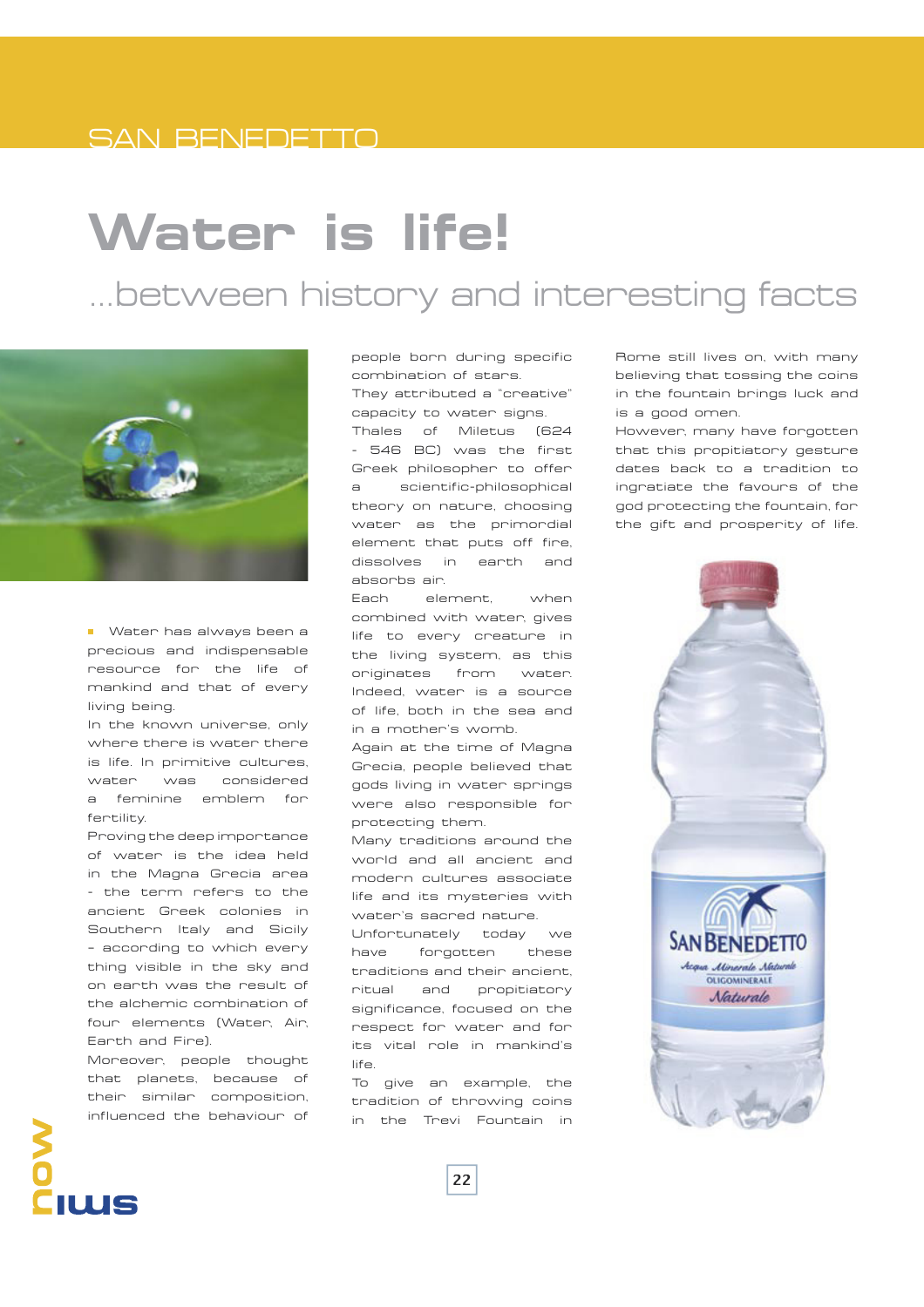#### SAN BENEDETTO

## **Water is life!**

#### …between history and interesting facts



**Water has always been a** precious and indispensable resource for the life of mankind and that of every living being.

In the known universe, only where there is water there is life. In primitive cultures, water was considered a feminine emblem for fertility.

Proving the deep importance of water is the idea held in the Magna Grecia area - the term refers to the ancient Greek colonies in Southern Italy and Sicily – according to which every thing visible in the sky and on earth was the result of the alchemic combination of four elements (Water, Air, Earth and Fire).

Moreover, people thought that planets, because of their similar composition, influenced the behaviour of

people born during specific combination of stars. They attributed a "creative" capacity to water signs.

Thales of Miletus (624 - 546 BC) was the first Greek philosopher to offer a scientific-philosophical theory on nature, choosing water as the primordial element that puts off fire, dissolves in earth and absorbs air.

Each element, when combined with water, gives life to every creature in the living system, as this originates from water. Indeed, water is a source of life, both in the sea and in a mother's womb.

Again at the time of Magna Grecia, people believed that gods living in water springs were also responsible for protecting them.

Many traditions around the world and all ancient and modern cultures associate life and its mysteries with water's sacred nature.

Unfortunately today we have forgotten these traditions and their ancient, ritual and propitiatory significance, focused on the respect for water and for its vital role in mankind's life.

To give an example, the tradition of throwing coins in the Trevi Fountain in

Rome still lives on, with many believing that tossing the coins in the fountain brings luck and is a good omen.

However, many have forgotten that this propitiatory gesture dates back to a tradition to ingratiate the favours of the god protecting the fountain, for the gift and prosperity of life.



# IUUS

22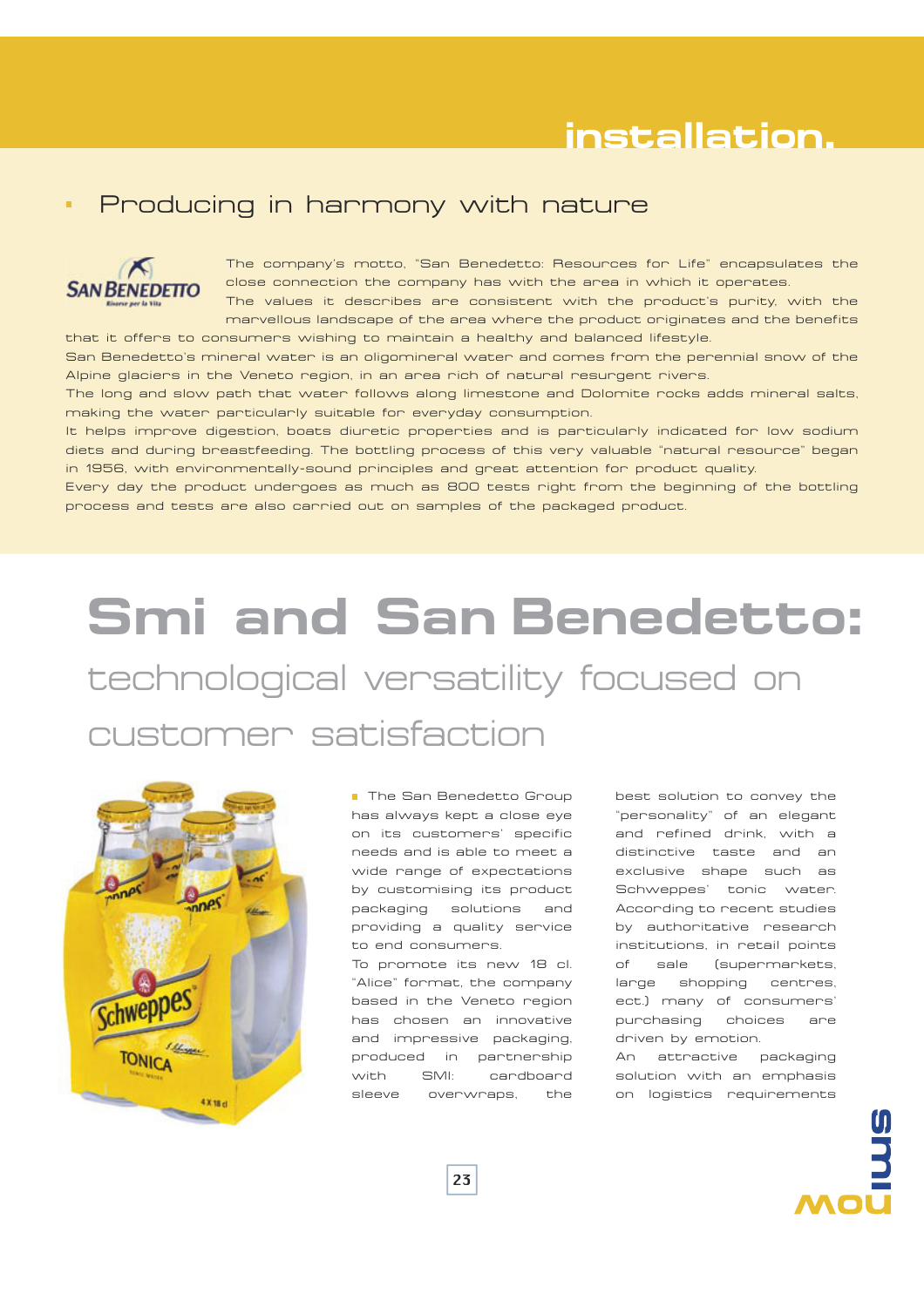#### **installation.**

#### Producing in harmony with nature



The company's motto, "San Benedetto: Resources for Life" encapsulates the close connection the company has with the area in which it operates.

The values it describes are consistent with the product's purity, with the marvellous landscape of the area where the product originates and the benefits that it offers to consumers wishing to maintain a healthy and balanced lifestyle.

San Benedetto's mineral water is an oligomineral water and comes from the perennial snow of the Alpine glaciers in the Veneto region, in an area rich of natural resurgent rivers.

The long and slow path that water follows along limestone and Dolomite rocks adds mineral salts, making the water particularly suitable for everyday consumption.

It helps improve digestion, boats diuretic properties and is particularly indicated for low sodium diets and during breastfeeding. The bottling process of this very valuable "natural resource" began in 1956, with environmentally-sound principles and great attention for product quality.

Every day the product undergoes as much as 800 tests right from the beginning of the bottling process and tests are also carried out on samples of the packaged product.

## **Smi and San Benedetto:** technological versatility focused on customer satisfaction



■ The San Benedetto Group has always kept a close eye on its customers' specific needs and is able to meet a wide range of expectations by customising its product packaging solutions and providing a quality service to end consumers.

To promote its new 18 cl. "Alice" format, the company based in the Veneto region has chosen an innovative and impressive packaging, produced in partnership with SMI: cardboard sleeve overwraps, the

best solution to convey the "personality" of an elegant and refined drink, with a distinctive taste and an exclusive shape such as Schweppes' tonic water. According to recent studies by authoritative research institutions, in retail points of sale (supermarkets, large shopping centres, ect.) many of consumers' purchasing choices are driven by emotion.

An attractive packaging solution with an emphasis on logistics requirements

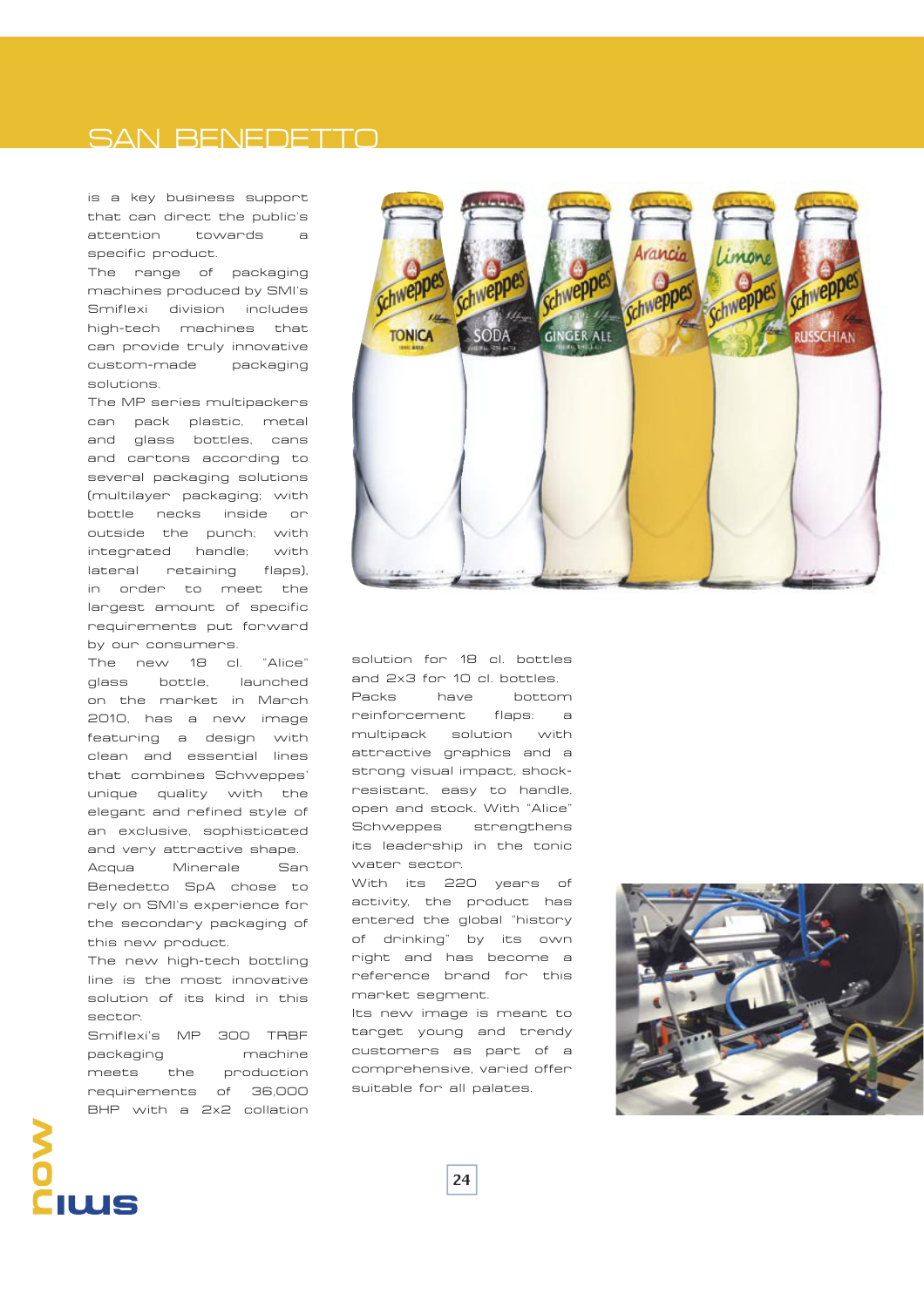#### SAN BENEDETTO

is a key business support that can direct the public's attention towards a specific product.

The range of packaging machines produced by SMI's Smiflexi division includes high-tech machines that can provide truly innovative custom-made packaging solutions.

The MP series multipackers can pack plastic, metal and glass bottles, cans and cartons according to several packaging solutions (multilayer packaging; with bottle necks inside or outside the punch; with integrated handle; with lateral retaining flaps), in order to meet the largest amount of specific requirements put forward by our consumers.

The new 18 cl. "Alice" glass bottle, launched on the market in March 2010, has a new image featuring a design with clean and essential lines that combines Schweppes' unique quality with the elegant and refined style of an exclusive, sophisticated and very attractive shape. Acqua Minerale San Benedetto SpA chose to rely on SMI's experience for the secondary packaging of this new product.

The new high-tech bottling line is the most innovative solution of its kind in this sector.

Smiflexi's MP 300 TRBF packaging machine meets the production requirements of 36,000 BHP with a 2x2 collation



solution for 18 cl. bottles and 2x3 for 10 cl. bottles. Packs have bottom reinforcement flaps: a multipack solution with attractive graphics and a strong visual impact, shockresistant, easy to handle, open and stock. With "Alice" Schweppes strengthens its leadership in the tonic water sector.

With its 220 years of activity, the product has entered the global "history of drinking" by its own right and has become a reference brand for this market segment.

Its new image is meant to target young and trendy customers as part of a comprehensive, varied offer suitable for all palates.



## IUUS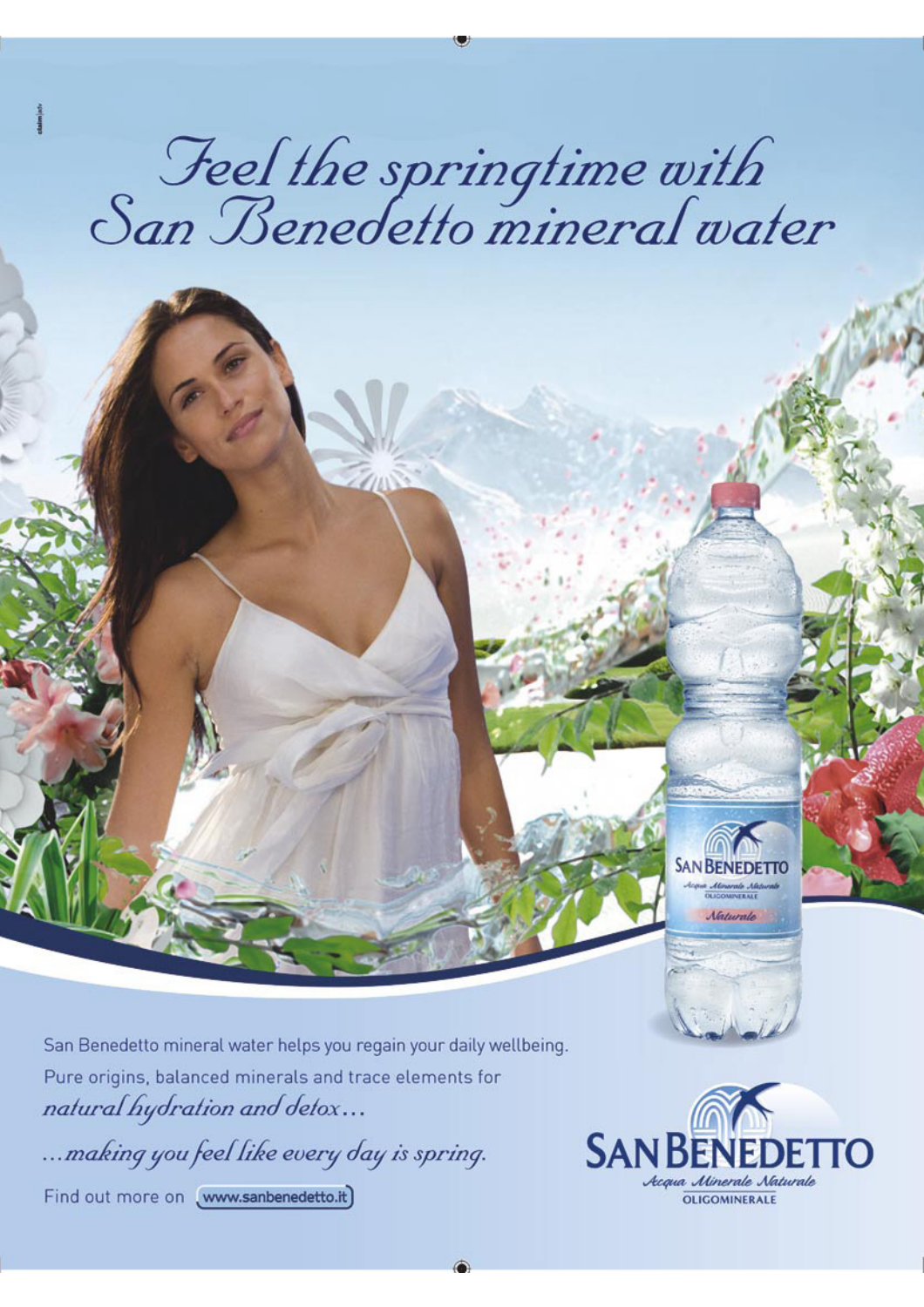# Jeel the springtime with<br>San Benedetto mineral water

San Benedetto mineral water helps you regain your daily wellbeing. Pure origins, balanced minerals and trace elements for natural hydration and detox...

... making you feel like every day is spring.

Find out more on www.sanbenedetto.it)



**SAN BENEDE** 

**Maturale**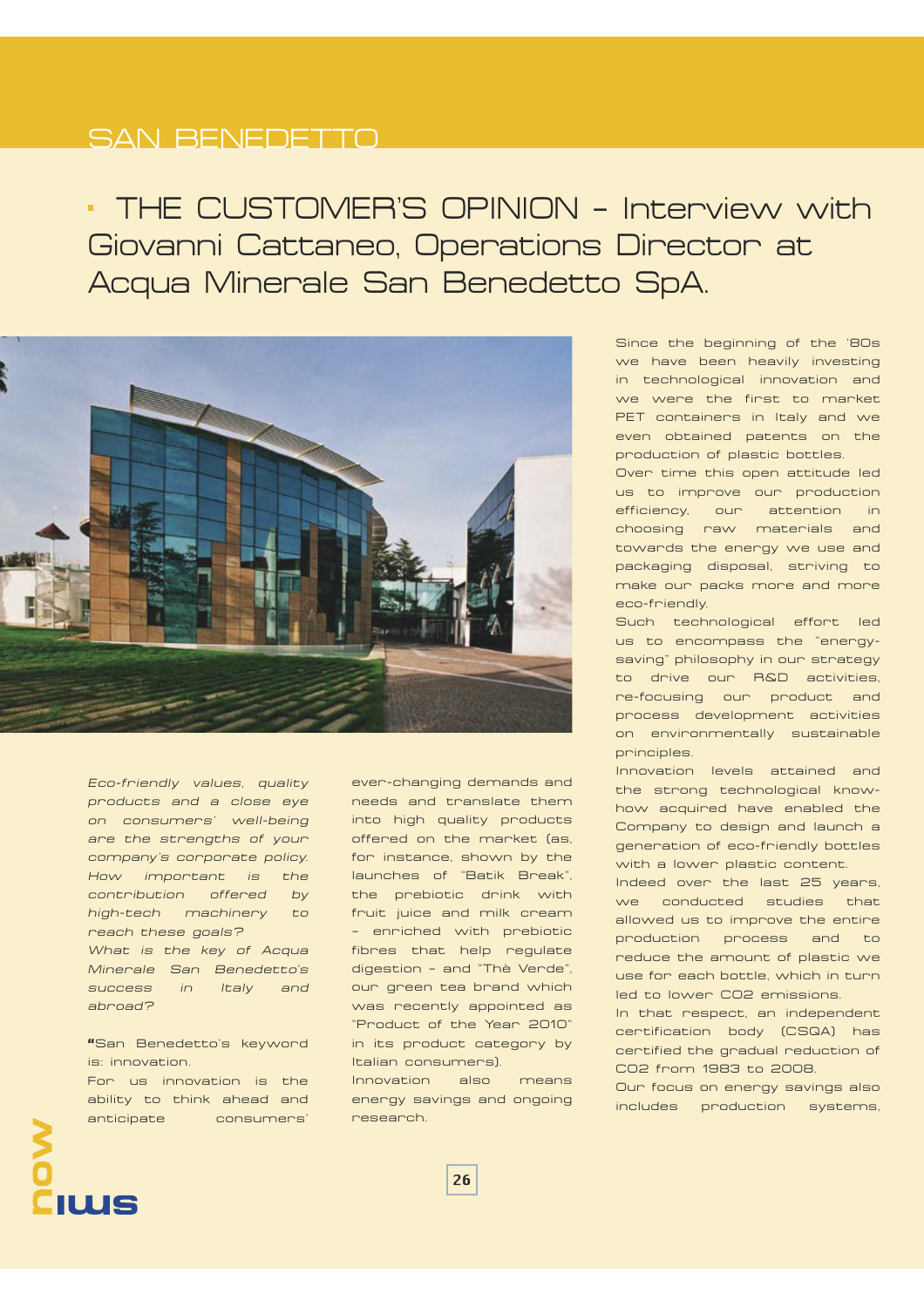#### SAN BENEDETTO

 THE CUSTOMER'S OPINION – Interview with Giovanni Cattaneo, Operations Director at Acqua Minerale San Benedetto SpA.



*Eco-friendly values, quality products and a close eye on consumers' well-being are the strengths of your company's corporate policy. How important is the contribution offered by high-tech machinery to reach these goals? What is the key of Acqua Minerale San Benedetto's success in Italy and abroad?* 

**"**San Benedetto's keyword is: innovation. For us innovation is the ability to think ahead and anticipate consumers'

ever-changing demands and needs and translate them into high quality products offered on the market (as, for instance, shown by the launches of "Batik Break", the prebiotic drink with fruit juice and milk cream – enriched with prebiotic fibres that help regulate digestion – and "Thè Verde", our green tea brand which was recently appointed as "Product of the Year 2010" in its product category by Italian consumers).

Innovation also means energy savings and ongoing research.

Since the beginning of the '80s we have been heavily investing in technological innovation and we were the first to market PET containers in Italy and we even obtained patents on the production of plastic bottles.

Over time this open attitude led us to improve our production efficiency, our attention in choosing raw materials and towards the energy we use and packaging disposal, striving to make our packs more and more eco-friendly.

Such technological effort led us to encompass the "energysaving" philosophy in our strategy to drive our R&D activities, re-focusing our product and process development activities on environmentally sustainable principles.

Innovation levels attained and the strong technological knowhow acquired have enabled the Company to design and launch a generation of eco-friendly bottles with a lower plastic content.

Indeed over the last 25 years, we conducted studies that allowed us to improve the entire production process and to reduce the amount of plastic we use for each bottle, which in turn led to lower CO2 emissions.

In that respect, an independent certification body (CSQA) has certified the gradual reduction of CO2 from 1983 to 2008.

Our focus on energy savings also includes production systems,